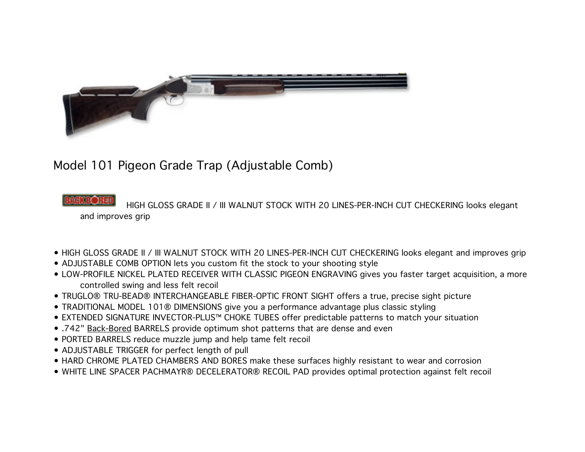

## Model 101 Pigeon Grade Trap (Adjustable Comb)

 HIGH GLOSS GRADE II / III WALNUT STOCK WITH 20 LINES-PER-INCH CUT CHECKERING looks elegant and improves grip

- HIGH GLOSS GRADE II / III WALNUT STOCK WITH 20 LINES-PER-INCH CUT CHECKERING looks elegant and improves grip
- ADJUSTABLE COMB OPTION lets you custom fit the stock to your shooting style
- LOW-PROFILE NICKEL PLATED RECEIVER WITH CLASSIC PIGEON ENGRAVING gives you faster target acquisition, a more controlled swing and less felt recoil
- TRUGLO® TRU-BEAD® INTERCHANGEABLE FIBER-OPTIC FRONT SIGHT offers a true, precise sight picture
- TRADITIONAL MODEL 101® DIMENSIONS give you a performance advantage plus classic styling
- EXTENDED SIGNATURE INVECTOR-PLUS™ CHOKE TUBES offer predictable patterns to match your situation
- .742" Back-Bored BARRELS provide optimum shot patterns that are dense and even
- PORTED BARRELS reduce muzzle jump and help tame felt recoil
- ADJUSTABLE TRIGGER for perfect length of pull
- HARD CHROME PLATED CHAMBERS AND BORES make these surfaces highly resistant to wear and corrosion
- WHITE LINE SPACER PACHMAYR® DECELERATOR® RECOIL PAD provides optimal protection against felt recoil